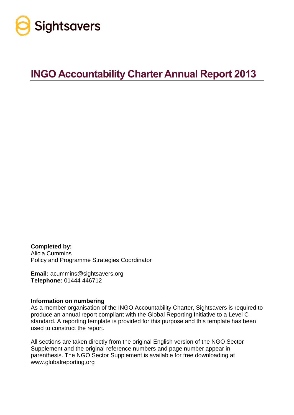

# **INGO Accountability Charter Annual Report 2013**

**Completed by:** Alicia Cummins Policy and Programme Strategies Coordinator

**Email:** acummins@sightsavers.org **Telephone:** 01444 446712

#### **Information on numbering**

As a member organisation of the INGO Accountability Charter, Sightsavers is required to produce an annual report compliant with the Global Reporting Initiative to a Level C standard. A reporting template is provided for this purpose and this template has been used to construct the report.

All sections are taken directly from the original English version of the NGO Sector Supplement and the original reference numbers and page number appear in parenthesis. The NGO Sector Supplement is available for free downloading at www.globalreporting.org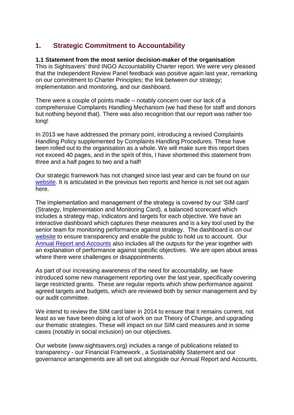## **1. Strategic Commitment to Accountability**

## **1.1 Statement from the most senior decision-maker of the organisation**

This is Sightsavers' third INGO Accountability Charter report. We were very pleased that the Independent Review Panel feedback was positive again last year, remarking on our commitment to Charter Principles; the link between our strategy; implementation and monitoring, and our dashboard.

There were a couple of points made – notably concern over our lack of a comprehensive Complaints Handling Mechanism (we had these for staff and donors but nothing beyond that). There was also recognition that our report was rather too long!

In 2013 we have addressed the primary point, introducing a revised Complaints Handling Policy supplemented by Complaints Handling Procedures. These have been rolled out to the organisation as a whole. We will make sure this report does not exceed 40 pages, and in the spirit of this, I have shortened this statement from three and a half pages to two and a half!

Our strategic framework has not changed since last year and can be found on our [website.](http://www.sightsavers.net/in_depth/quality_and_learning/organisational_monitoring/default.html) It is articulated in the previous two reports and hence is not set out again here.

The implementation and management of the strategy is covered by our 'SIM card' (Strategy, Implementation and Monitoring Card), a balanced scorecard which includes a strategy map, indicators and targets for each objective. We have an interactive dashboard which captures these measures and is a key tool used by the senior team for monitoring performance against strategy. The dashboard is on our [website](http://www.sightsavers.net/in_depth/quality_and_learning/organisational_monitoring/13068.html) to ensure transparency and enable the public to hold us to account. Our [Annual Report and Accounts](http://www.sightsavers.net/about_us/publications/default.html) also includes all the outputs for the year together with an explanation of performance against specific objectives. We are open about areas where there were challenges or disappointments.

As part of our increasing awareness of the need for accountability, we have introduced some new management reporting over the last year, specifically covering large restricted grants. These are regular reports which show performance against agreed targets and budgets, which are reviewed both by senior management and by our audit committee.

We intend to review the SIM card later in 2014 to ensure that it remains current, not least as we have been doing a lot of work on our Theory of Change, and upgrading our thematic strategies. These will impact on our SIM card measures and in some cases (notably in social inclusion) on our objectives.

Our website (www.sightsavers.org) includes a range of publications related to transparency - our Financial Framework , a Sustainability Statement and our governance arrangements are all set out alongside our Annual Report and Accounts.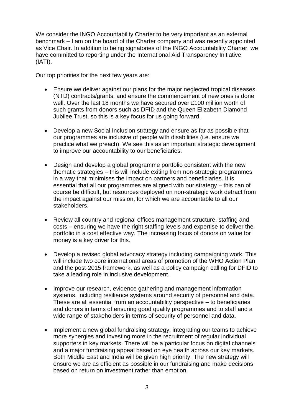We consider the INGO Accountability Charter to be very important as an external benchmark – I am on the board of the Charter company and was recently appointed as Vice Chair. In addition to being signatories of the INGO Accountability Charter, we have committed to reporting under the International Aid Transparency Initiative (IATI).

Our top priorities for the next few years are:

- Ensure we deliver against our plans for the major neglected tropical diseases (NTD) contracts/grants, and ensure the commencement of new ones is done well. Over the last 18 months we have secured over £100 million worth of such grants from donors such as DFID and the Queen Elizabeth Diamond Jubilee Trust, so this is a key focus for us going forward.
- Develop a new Social Inclusion strategy and ensure as far as possible that our programmes are inclusive of people with disabilities (i.e. ensure we practice what we preach). We see this as an important strategic development to improve our accountability to our beneficiaries.
- Design and develop a global programme portfolio consistent with the new thematic strategies – this will include exiting from non-strategic programmes in a way that minimises the impact on partners and beneficiaries. It is essential that all our programmes are aligned with our strategy – this can of course be difficult, but resources deployed on non-strategic work detract from the impact against our mission, for which we are accountable to all our stakeholders.
- Review all country and regional offices management structure, staffing and costs – ensuring we have the right staffing levels and expertise to deliver the portfolio in a cost effective way. The increasing focus of donors on value for money is a key driver for this.
- Develop a revised global advocacy strategy including campaigning work. This will include two core international areas of promotion of the WHO Action Plan and the post-2015 framework, as well as a policy campaign calling for DFID to take a leading role in inclusive development.
- Improve our research, evidence gathering and management information systems, including resilience systems around security of personnel and data. These are all essential from an accountability perspective – to beneficiaries and donors in terms of ensuring good quality programmes and to staff and a wide range of stakeholders in terms of security of personnel and data.
- Implement a new global fundraising strategy, integrating our teams to achieve more synergies and investing more in the recruitment of regular individual supporters in key markets. There will be a particular focus on digital channels and a major fundraising appeal based on eye health across our key markets. Both Middle East and India will be given high priority. The new strategy will ensure we are as efficient as possible in our fundraising and make decisions based on return on investment rather than emotion.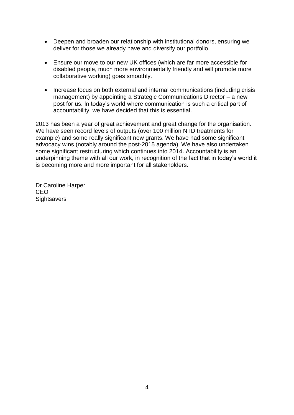- Deepen and broaden our relationship with institutional donors, ensuring we deliver for those we already have and diversify our portfolio.
- Ensure our move to our new UK offices (which are far more accessible for disabled people, much more environmentally friendly and will promote more collaborative working) goes smoothly.
- Increase focus on both external and internal communications (including crisis management) by appointing a Strategic Communications Director – a new post for us. In today's world where communication is such a critical part of accountability, we have decided that this is essential.

2013 has been a year of great achievement and great change for the organisation. We have seen record levels of outputs (over 100 million NTD treatments for example) and some really significant new grants. We have had some significant advocacy wins (notably around the post-2015 agenda). We have also undertaken some significant restructuring which continues into 2014. Accountability is an underpinning theme with all our work, in recognition of the fact that in today's world it is becoming more and more important for all stakeholders.

Dr Caroline Harper CEO **Sightsavers**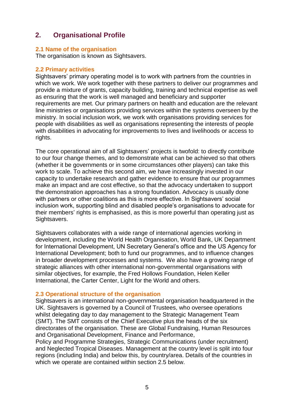## **2. Organisational Profile**

## **2.1 Name of the organisation**

The organisation is known as Sightsavers.

#### **2.2 Primary activities**

Sightsavers' primary operating model is to work with partners from the countries in which we work. We work together with these partners to deliver our programmes and provide a mixture of grants, capacity building, training and technical expertise as well as ensuring that the work is well managed and beneficiary and supporter requirements are met. Our primary partners on health and education are the relevant line ministries or organisations providing services within the systems overseen by the ministry. In social inclusion work, we work with organisations providing services for people with disabilities as well as organisations representing the interests of people with disabilities in advocating for improvements to lives and livelihoods or access to rights.

The core operational aim of all Sightsavers' projects is twofold: to directly contribute to our four change themes, and to demonstrate what can be achieved so that others (whether it be governments or in some circumstances other players) can take this work to scale. To achieve this second aim, we have increasingly invested in our capacity to undertake research and gather evidence to ensure that our programmes make an impact and are cost effective, so that the advocacy undertaken to support the demonstration approaches has a strong foundation. Advocacy is usually done with partners or other coalitions as this is more effective. In Sightsavers' social inclusion work, supporting blind and disabled people's organisations to advocate for their members' rights is emphasised, as this is more powerful than operating just as Sightsavers.

Sightsavers collaborates with a wide range of international agencies working in development, including the World Health Organisation, World Bank, UK Department for International Development, UN Secretary General's office and the US Agency for International Development; both to fund our programmes, and to influence changes in broader development processes and systems. We also have a growing range of strategic alliances with other international non-governmental organisations with similar objectives, for example, the Fred Hollows Foundation, Helen Keller International, the Carter Center, Light for the World and others.

## **2.3 Operational structure of the organisation**

Sightsavers is an international non-governmental organisation headquartered in the UK. Sightsavers is governed by a Council of Trustees, who oversee operations whilst delegating day to day management to the Strategic Management Team (SMT). The SMT consists of the Chief Executive plus the heads of the six directorates of the organisation. These are Global Fundraising, Human Resources and Organisational Development, Finance and Performance,

Policy and Programme Strategies, Strategic Communications (under recruitment) and Neglected Tropical Diseases. Management at the country level is split into four regions (including India) and below this, by country/area. Details of the countries in which we operate are contained within section 2.5 below.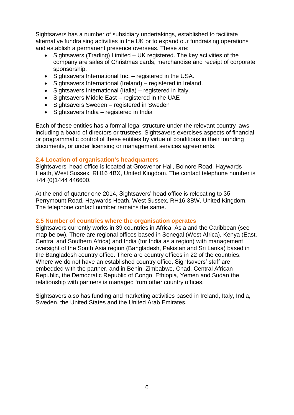Sightsavers has a number of subsidiary undertakings, established to facilitate alternative fundraising activities in the UK or to expand our fundraising operations and establish a permanent presence overseas. These are:

- Sightsavers (Trading) Limited UK registered. The key activities of the company are sales of Christmas cards, merchandise and receipt of corporate sponsorship.
- Sightsavers International Inc. registered in the USA.
- Sightsavers International (Ireland) registered in Ireland.
- Sightsavers International (Italia) registered in Italy.
- Sightsavers Middle East registered in the UAE
- Sightsavers Sweden registered in Sweden
- Sightsavers India registered in India

Each of these entities has a formal legal structure under the relevant country laws including a board of directors or trustees. Sightsavers exercises aspects of financial or programmatic control of these entities by virtue of conditions in their founding documents, or under licensing or management services agreements.

## **2.4 Location of organisation's headquarters**

Sightsavers' head office is located at Grosvenor Hall, Bolnore Road, Haywards Heath, West Sussex, RH16 4BX, United Kingdom. The contact telephone number is +44 (0)1444 446600.

At the end of quarter one 2014, Sightsavers' head office is relocating to 35 Perrymount Road, Haywards Heath, West Sussex, RH16 3BW, United Kingdom. The telephone contact number remains the same.

## **2.5 Number of countries where the organisation operates**

Sightsavers currently works in 39 countries in Africa, Asia and the Caribbean (see map below). There are regional offices based in Senegal (West Africa), Kenya (East, Central and Southern Africa) and India (for India as a region) with management oversight of the South Asia region (Bangladesh, Pakistan and Sri Lanka) based in the Bangladesh country office. There are country offices in 22 of the countries. Where we do not have an established country office, Sightsavers' staff are embedded with the partner, and in Benin, Zimbabwe, Chad, Central African Republic, the Democratic Republic of Congo, Ethiopia, Yemen and Sudan the relationship with partners is managed from other country offices.

Sightsavers also has funding and marketing activities based in Ireland, Italy, India, Sweden, the United States and the United Arab Emirates.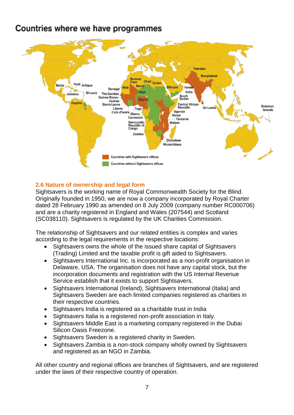## **Countries where we have programmes**



## **2.6 Nature of ownership and legal form**

Sightsavers is the working name of Royal Commonwealth Society for the Blind. Originally founded in 1950, we are now a company incorporated by Royal Charter dated 28 February 1990 as amended on 8 July 2009 (company number RC000706) and are a charity registered in England and Wales (207544) and Scotland (SC038110). Sightsavers is regulated by the UK Charities Commission.

The relationship of Sightsavers and our related entities is complex and varies according to the legal requirements in the respective locations:

- Sightsavers owns the whole of the issued share capital of Sightsavers (Trading) Limited and the taxable profit is gift aided to Sightsavers.
- Sightsavers International Inc. is incorporated as a non-profit organisation in Delaware, USA. The organisation does not have any capital stock, but the incorporation documents and registration with the US Internal Revenue Service establish that it exists to support Sightsavers.
- Sightsavers International (Ireland), Sightsavers International (Italia) and Sightsavers Sweden are each limited companies registered as charities in their respective countries.
- Sightsavers India is registered as a charitable trust in India
- Sightsavers Italia is a registered non-profit association in Italy.
- Sightsavers Middle East is a marketing company registered in the Dubai Silicon Oasis Freezone.
- Sightsavers Sweden is a registered charity in Sweden.
- Sightsavers Zambia is a non-stock company wholly owned by Sightsavers and registered as an NGO in Zambia.

All other country and regional offices are branches of Sightsavers, and are registered under the laws of their respective country of operation.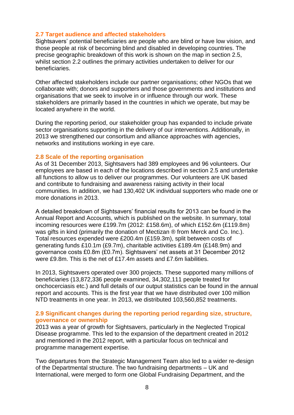### **2.7 Target audience and affected stakeholders**

Sightsavers' potential beneficiaries are people who are blind or have low vision, and those people at risk of becoming blind and disabled in developing countries. The precise geographic breakdown of this work is shown on the map in section 2.5, whilst section 2.2 outlines the primary activities undertaken to deliver for our beneficiaries.

Other affected stakeholders include our partner organisations; other NGOs that we collaborate with; donors and supporters and those governments and institutions and organisations that we seek to involve in or influence through our work. These stakeholders are primarily based in the countries in which we operate, but may be located anywhere in the world.

During the reporting period, our stakeholder group has expanded to include private sector organisations supporting in the delivery of our interventions. Additionally, in 2013 we strengthened our consortium and alliance approaches with agencies, networks and institutions working in eye care.

#### **2.8 Scale of the reporting organisation**

As of 31 December 2013, Sightsavers had 389 employees and 96 volunteers. Our employees are based in each of the locations described in section 2.5 and undertake all functions to allow us to deliver our programmes. Our volunteers are UK based and contribute to fundraising and awareness raising activity in their local communities. In addition, we had 130,402 UK individual supporters who made one or more donations in 2013.

A detailed breakdown of Sightsavers' financial results for 2013 can be found in the Annual Report and Accounts, which is published on the website. In summary, total incoming resources were £199.7m (2012: £158.6m), of which £152.6m (£119.8m) was gifts in kind (primarily the donation of Mectizan ® from Merck and Co. Inc.). Total resources expended were £200.4m (£159.3m), split between costs of generating funds £10.1m (£9.7m), charitable activities £189.4m (£148.9m) and governance costs £0.8m (£0.7m). Sightsavers' net assets at 31 December 2012 were £9.8m. This is the net of £17.4m assets and £7.6m liabilities.

In 2013, Sightsavers operated over 300 projects. These supported many millions of beneficiaries (13,872,336 people examined, 34,302,111 people treated for onchocerciasis etc.) and full details of our output statistics can be found in the annual report and accounts. This is the first year that we have distributed over 100 million NTD treatments in one year. In 2013, we distributed 103,560,852 treatments.

#### **2.9 Significant changes during the reporting period regarding size, structure, governance or ownership**

2013 was a year of growth for Sightsavers, particularly in the Neglected Tropical Disease programme. This led to the expansion of the department created in 2012 and mentioned in the 2012 report, with a particular focus on technical and programme management expertise.

Two departures from the Strategic Management Team also led to a wider re-design of the Departmental structure. The two fundraising departments – UK and International, were merged to form one Global Fundraising Department, and the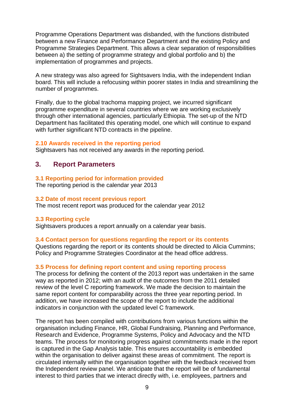Programme Operations Department was disbanded, with the functions distributed between a new Finance and Performance Department and the existing Policy and Programme Strategies Department. This allows a clear separation of responsibilities between a) the setting of programme strategy and global portfolio and b) the implementation of programmes and projects.

A new strategy was also agreed for Sightsavers India, with the independent Indian board. This will include a refocusing within poorer states in India and streamlining the number of programmes.

Finally, due to the global trachoma mapping project, we incurred significant programme expenditure in several countries where we are working exclusively through other international agencies, particularly Ethiopia. The set-up of the NTD Department has facilitated this operating model, one which will continue to expand with further significant NTD contracts in the pipeline.

#### **2.10 Awards received in the reporting period**

Sightsavers has not received any awards in the reporting period.

## **3. Report Parameters**

#### **3.1 Reporting period for information provided**

The reporting period is the calendar year 2013

#### **3.2 Date of most recent previous report**

The most recent report was produced for the calendar year 2012

#### **3.3 Reporting cycle**

Sightsavers produces a report annually on a calendar year basis.

#### **3.4 Contact person for questions regarding the report or its contents**

Questions regarding the report or its contents should be directed to Alicia Cummins; Policy and Programme Strategies Coordinator at the head office address.

#### **3.5 Process for defining report content and using reporting process**

The process for defining the content of the 2013 report was undertaken in the same way as reported in 2012; with an audit of the outcomes from the 2011 detailed review of the level C reporting framework. We made the decision to maintain the same report content for comparability across the three year reporting period. In addition, we have increased the scope of the report to include the additional indicators in conjunction with the updated level C framework.

The report has been compiled with contributions from various functions within the organisation including Finance, HR, Global Fundraising, Planning and Performance, Research and Evidence, Programme Systems, Policy and Advocacy and the NTD teams. The process for monitoring progress against commitments made in the report is captured in the Gap Analysis table. This ensures accountability is embedded within the organisation to deliver against these areas of commitment. The report is circulated internally within the organisation together with the feedback received from the Independent review panel. We anticipate that the report will be of fundamental interest to third parties that we interact directly with, i.e. employees, partners and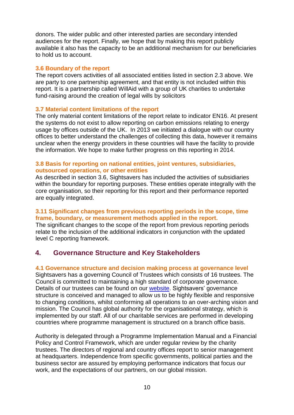donors. The wider public and other interested parties are secondary intended audiences for the report. Finally, we hope that by making this report publicly available it also has the capacity to be an additional mechanism for our beneficiaries to hold us to account.

#### **3.6 Boundary of the report**

The report covers activities of all associated entities listed in section 2.3 above. We are party to one partnership agreement, and that entity is not included within this report. It is a partnership called WillAid with a group of UK charities to undertake fund-raising around the creation of legal wills by solicitors

## **3.7 Material content limitations of the report**

The only material content limitations of the report relate to indicator EN16. At present the systems do not exist to allow reporting on carbon emissions relating to energy usage by offices outside of the UK. In 2013 we initiated a dialogue with our country offices to better understand the challenges of collecting this data, however it remains unclear when the energy providers in these countries will have the facility to provide the information. We hope to make further progress on this reporting in 2014.

## **3.8 Basis for reporting on national entities, joint ventures, subsidiaries, outsourced operations, or other entities**

As described in section 3.6, Sightsavers has included the activities of subsidiaries within the boundary for reporting purposes. These entities operate integrally with the core organisation, so their reporting for this report and their performance reported are equally integrated.

## **3.11 Significant changes from previous reporting periods in the scope, time frame, boundary, or measurement methods applied in the report.**

The significant changes to the scope of the report from previous reporting periods relate to the inclusion of the additional indicators in conjunction with the updated level C reporting framework.

## **4. Governance Structure and Key Stakeholders**

## **4.1 Governance structure and decision making process at governance level**

Sightsavers has a governing Council of Trustees which consists of 16 trustees. The Council is committed to maintaining a high standard of corporate governance. Details of our trustees can be found on our [website.](http://www.sightsavers.org/about_us/governance/trustees/default.html) Sightsavers' governance structure is conceived and managed to allow us to be highly flexible and responsive to changing conditions, whilst conforming all operations to an over-arching vision and mission. The Council has global authority for the organisational strategy, which is implemented by our staff. All of our charitable services are performed in developing countries where programme management is structured on a branch office basis.

Authority is delegated through a Programme Implementation Manual and a Financial Policy and Control Framework, which are under regular review by the charity trustees. The directors of regional and country offices report to senior management at headquarters. Independence from specific governments, political parties and the business sector are assured by employing performance indicators that focus our work, and the expectations of our partners, on our global mission.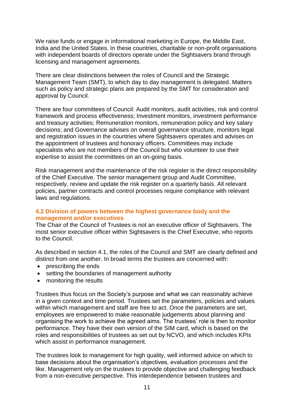We raise funds or engage in informational marketing in Europe, the Middle East, India and the United States. In these countries, charitable or non-profit organisations with independent boards of directors operate under the Sightsavers brand through licensing and management agreements.

There are clear distinctions between the roles of Council and the Strategic Management Team (SMT), to which day to day management is delegated. Matters such as policy and strategic plans are prepared by the SMT for consideration and approval by Council.

There are four committees of Council: Audit monitors, audit activities, risk and control framework and process effectiveness; Investment monitors, investment performance and treasury activities; Remuneration monitors, remuneration policy and key salary decisions; and Governance advises on overall governance structure, monitors legal and registration issues in the countries where Sightsavers operates and advises on the appointment of trustees and honorary officers. Committees may include specialists who are not members of the Council but who volunteer to use their expertise to assist the committees on an on-going basis.

Risk management and the maintenance of the risk register is the direct responsibility of the Chief Executive. The senior management group and Audit Committee, respectively, review and update the risk register on a quarterly basis. All relevant policies, partner contracts and control processes require compliance with relevant laws and regulations.

## **4.2 Division of powers between the highest governance body and the management and/or executives**

The Chair of the Council of Trustees is not an executive officer of Sightsavers. The most senior executive officer within Sightsavers is the Chief Executive, who reports to the Council.

As described in section 4.1, the roles of the Council and SMT are clearly defined and distinct from one another. In broad terms the trustees are concerned with:

- prescribing the ends
- setting the boundaries of management authority
- monitoring the results

Trustees thus focus on the Society's purpose and what we can reasonably achieve in a given context and time period. Trustees set the parameters, policies and values within which management and staff are free to act. Once the parameters are set, employees are empowered to make reasonable judgements about planning and organising the work to achieve the agreed aims. The trustees' role is then to monitor performance. They have their own version of the SIM card, which is based on the roles and responsibilities of trustees as set out by NCVO, and which includes KPIs which assist in performance management.

The trustees look to management for high quality, well informed advice on which to base decisions about the organisation's objectives, evaluation processes and the like. Management rely on the trustees to provide objective and challenging feedback from a non-executive perspective. This interdependence between trustees and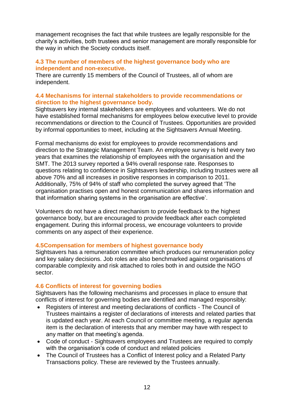management recognises the fact that while trustees are legally responsible for the charity's activities, both trustees and senior management are morally responsible for the way in which the Society conducts itself.

## **4.3 The number of members of the highest governance body who are independent and non-executive.**

There are currently 15 members of the Council of Trustees, all of whom are independent.

## **4.4 Mechanisms for internal stakeholders to provide recommendations or direction to the highest governance body.**

Sightsavers key internal stakeholders are employees and volunteers. We do not have established formal mechanisms for employees below executive level to provide recommendations or direction to the Council of Trustees. Opportunities are provided by informal opportunities to meet, including at the Sightsavers Annual Meeting.

Formal mechanisms do exist for employees to provide recommendations and direction to the Strategic Management Team. An employee survey is held every two years that examines the relationship of employees with the organisation and the SMT. The 2013 survey reported a 94% overall response rate. Responses to questions relating to confidence in Sightsavers leadership, including trustees were all above 70% and all increases in positive responses in comparison to 2011. Additionally, 75% of 94% of staff who completed the survey agreed that 'The organisation practises open and honest communication and shares information and that information sharing systems in the organisation are effective'.

Volunteers do not have a direct mechanism to provide feedback to the highest governance body, but are encouraged to provide feedback after each completed engagement. During this informal process, we encourage volunteers to provide comments on any aspect of their experience.

## **4.5Compensation for members of highest governance body**

Sightsavers has a remuneration committee which produces our remuneration policy and key salary decisions. Job roles are also benchmarked against organisations of comparable complexity and risk attached to roles both in and outside the NGO sector.

## **4.6 Conflicts of interest for governing bodies**

Sightsavers has the following mechanisms and processes in place to ensure that conflicts of interest for governing bodies are identified and managed responsibly:

- Registers of interest and meeting declarations of conflicts The Council of Trustees maintains a register of declarations of interests and related parties that is updated each year. At each Council or committee meeting, a regular agenda item is the declaration of interests that any member may have with respect to any matter on that meeting's agenda.
- Code of conduct Sightsavers employees and Trustees are required to comply with the organisation's code of conduct and related policies
- The Council of Trustees has a Conflict of Interest policy and a Related Party Transactions policy. These are reviewed by the Trustees annually.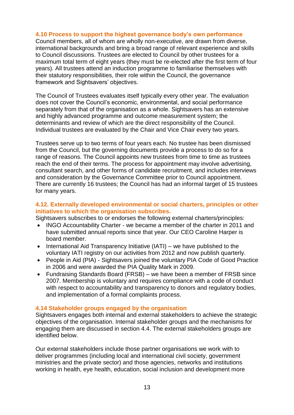#### **4.10 Process to support the highest governance body's own performance**

Council members, all of whom are wholly non-executive, are drawn from diverse, international backgrounds and bring a broad range of relevant experience and skills to Council discussions. Trustees are elected to Council by other trustees for a maximum total term of eight years (they must be re-elected after the first term of four years). All trustees attend an induction programme to familiarise themselves with their statutory responsibilities, their role within the Council, the governance framework and Sightsavers' objectives.

The Council of Trustees evaluates itself typically every other year. The evaluation does not cover the Council's economic, environmental, and social performance separately from that of the organisation as a whole. Sightsavers has an extensive and highly advanced programme and outcome measurement system; the determinants and review of which are the direct responsibility of the Council. Individual trustees are evaluated by the Chair and Vice Chair every two years.

Trustees serve up to two terms of four years each. No trustee has been dismissed from the Council, but the governing documents provide a process to do so for a range of reasons. The Council appoints new trustees from time to time as trustees reach the end of their terms. The process for appointment may involve advertising, consultant search, and other forms of candidate recruitment, and includes interviews and consideration by the Governance Committee prior to Council appointment. There are currently 16 trustees; the Council has had an informal target of 15 trustees for many years.

## **4.12. Externally developed environmental or social charters, principles or other initiatives to which the organisation subscribes.**

Sightsavers subscribes to or endorses the following external charters/principles:

- INGO Accountability Charter we became a member of the charter in 2011 and have submitted annual reports since that year. Our CEO Caroline Harper is board member.
- $\bullet$  International Aid Transparency Initiative (IATI) we have published to the voluntary IATI registry on our activities from 2012 and now publish quarterly.
- People in Aid (PIA) Sightsavers joined the voluntary PIA Code of Good Practice in 2006 and were awarded the PIA Quality Mark in 2009.
- Fundraising Standards Board (FRSB) we have been a member of FRSB since 2007. Membership is voluntary and requires compliance with a code of conduct with respect to accountability and transparency to donors and regulatory bodies, and implementation of a formal complaints process.

## **4.14 Stakeholder groups engaged by the organisation**

Sightsavers engages both internal and external stakeholders to achieve the strategic objectives of the organisation. Internal stakeholder groups and the mechanisms for engaging them are discussed in section 4.4. The external stakeholders groups are identified below.

Our external stakeholders include those partner organisations we work with to deliver programmes (including local and international civil society, government ministries and the private sector) and those agencies, networks and institutions working in health, eye health, education, social inclusion and development more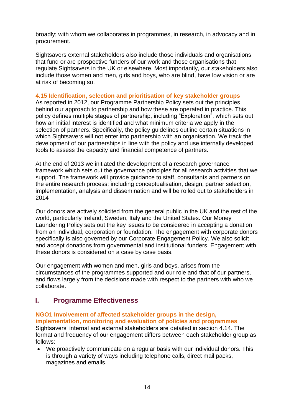broadly; with whom we collaborates in programmes, in research, in advocacy and in procurement.

Sightsavers external stakeholders also include those individuals and organisations that fund or are prospective funders of our work and those organisations that regulate Sightsavers in the UK or elsewhere. Most importantly, our stakeholders also include those women and men, girls and boys, who are blind, have low vision or are at risk of becoming so.

## **4.15 Identification, selection and prioritisation of key stakeholder groups**

As reported in 2012, our Programme Partnership Policy sets out the principles behind our approach to partnership and how these are operated in practice. This policy defines multiple stages of partnership, including "Exploration", which sets out how an initial interest is identified and what minimum criteria we apply in the selection of partners. Specifically, the policy guidelines outline certain situations in which Sightsavers will not enter into partnership with an organisation. We track the development of our partnerships in line with the policy and use internally developed tools to assess the capacity and financial competence of partners.

At the end of 2013 we initiated the development of a research governance framework which sets out the governance principles for all research activities that we support. The framework will provide guidance to staff, consultants and partners on the entire research process; including conceptualisation, design, partner selection, implementation, analysis and dissemination and will be rolled out to stakeholders in 2014

Our donors are actively solicited from the general public in the UK and the rest of the world, particularly Ireland, Sweden, Italy and the United States. Our Money Laundering Policy sets out the key issues to be considered in accepting a donation from an individual, corporation or foundation. The engagement with corporate donors specifically is also governed by our Corporate Engagement Policy. We also solicit and accept donations from governmental and institutional funders. Engagement with these donors is considered on a case by case basis.

Our engagement with women and men, girls and boys, arises from the circumstances of the programmes supported and our role and that of our partners, and flows largely from the decisions made with respect to the partners with who we collaborate.

## **I. Programme Effectiveness**

#### **NGO1 Involvement of affected stakeholder groups in the design, implementation, monitoring and evaluation of policies and programmes**

Sightsavers' internal and external stakeholders are detailed in section 4.14. The format and frequency of our engagement differs between each stakeholder group as follows:

 We proactively communicate on a regular basis with our individual donors. This is through a variety of ways including telephone calls, direct mail packs, magazines and emails.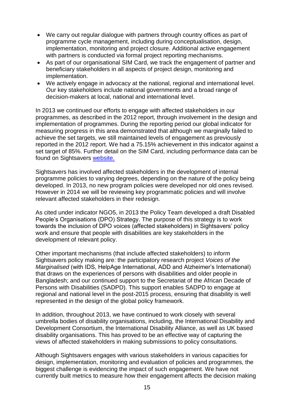- We carry out regular dialogue with partners through country offices as part of programme cycle management, including during conceptualisation, design, implementation, monitoring and project closure. Additional active engagement with partners is conducted via formal project reporting mechanisms.
- As part of our organisational SIM Card, we track the engagement of partner and beneficiary stakeholders in all aspects of project design, monitoring and implementation.
- We actively engage in advocacy at the national, regional and international level. Our key stakeholders include national governments and a broad range of decision-makers at local, national and international level.

In 2013 we continued our efforts to engage with affected stakeholders in our programmes, as described in the 2012 report, through involvement in the design and implementation of programmes. During the reporting period our global indicator for measuring progress in this area demonstrated that although we marginally failed to achieve the set targets, we still maintained levels of engagement as previously reported in the 2012 report. We had a 75.15% achievement in this indicator against a set target of 85%. Further detail on the SIM Card, including performance data can be found on Sightsavers [website.](http://www.sightsavers.org/in_depth/quality_and_learning/organisational_monitoring/13068.html)

Sightsavers has involved affected stakeholders in the development of internal programme policies to varying degrees, depending on the nature of the policy being developed. In 2013, no new program policies were developed nor old ones revised. However in 2014 we will be reviewing key programmatic policies and will involve relevant affected stakeholders in their redesign.

As cited under indicator NGO5, in 2013 the Policy Team developed a draft Disabled People's Organisations (DPO) Strategy. The purpose of this strategy is to work towards the inclusion of DPO voices (affected stakeholders) in Sightsavers' policy work and ensure that people with disabilities are key stakeholders in the development of relevant policy.

Other important mechanisms (that include affected stakeholders) to inform Sightsavers policy making are: the participatory research project *Voices of the Marginalised* (with IDS, HelpAge International, ADD and Alzheimer's International) that draws on the experiences of persons with disabilities and older people in Bangladesh; and our continued support to the Secretariat of the African Decade of Persons with Disabilities (SADPD). This support enables SADPD to engage at regional and national level in the post-2015 process, ensuring that disability is well represented in the design of the global policy framework.

In addition, throughout 2013, we have continued to work closely with several umbrella bodies of disability organisations, including, the International Disability and Development Consortium, the International Disability Alliance, as well as UK based disability organisations. This has proved to be an effective way of capturing the views of affected stakeholders in making submissions to policy consultations.

Although Sightsavers engages with various stakeholders in various capacities for design, implementation, monitoring and evaluation of policies and programmes, the biggest challenge is evidencing the impact of such engagement. We have not currently built metrics to measure how their engagement affects the decision making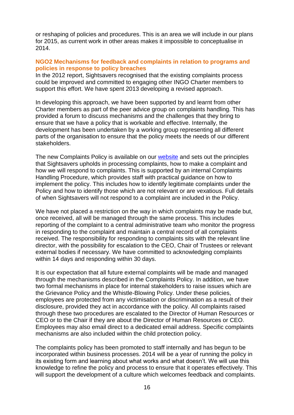or reshaping of policies and procedures. This is an area we will include in our plans for 2015, as current work in other areas makes it impossible to conceptualise in 2014.

#### **NGO2 Mechanisms for feedback and complaints in relation to programs and policies in response to policy breaches**

In the 2012 report, Sightsavers recognised that the existing complaints process could be improved and committed to engaging other INGO Charter members to support this effort. We have spent 2013 developing a revised approach.

In developing this approach, we have been supported by and learnt from other Charter members as part of the peer advice group on complaints handling. This has provided a forum to discuss mechanisms and the challenges that they bring to ensure that we have a policy that is workable and effective. Internally, the development has been undertaken by a working group representing all different parts of the organisation to ensure that the policy meets the needs of our different stakeholders.

The new Complaints Policy is available on our [website](http://www.sightsavers.net/about_us/governance/20930.html) and sets out the principles that Sightsavers upholds in processing complaints, how to make a complaint and how we will respond to complaints. This is supported by an internal Complaints Handling Procedure, which provides staff with practical guidance on how to implement the policy. This includes how to identify legitimate complaints under the Policy and how to identify those which are not relevant or are vexatious. Full details of when Sightsavers will not respond to a complaint are included in the Policy.

We have not placed a restriction on the way in which complaints may be made but, once received, all will be managed through the same process. This includes reporting of the complaint to a central administrative team who monitor the progress in responding to the complaint and maintain a central record of all complaints received. The responsibility for responding to complaints sits with the relevant line director, with the possibility for escalation to the CEO, Chair of Trustees or relevant external bodies if necessary. We have committed to acknowledging complaints within 14 days and responding within 30 days.

It is our expectation that all future external complaints will be made and managed through the mechanisms described in the Complaints Policy. In addition, we have two formal mechanisms in place for internal stakeholders to raise issues which are the Grievance Policy and the Whistle-Blowing Policy. Under these policies, employees are protected from any victimisation or discrimination as a result of their disclosure, provided they act in accordance with the policy. All complaints raised through these two procedures are escalated to the Director of Human Resources or CEO or to the Chair if they are about the Director of Human Resources or CEO. Employees may also email direct to a dedicated email address. Specific complaints mechanisms are also included within the child protection policy.

The complaints policy has been promoted to staff internally and has begun to be incorporated within business processes. 2014 will be a year of running the policy in its existing form and learning about what works and what doesn't. We will use this knowledge to refine the policy and process to ensure that it operates effectively. This will support the development of a culture which welcomes feedback and complaints.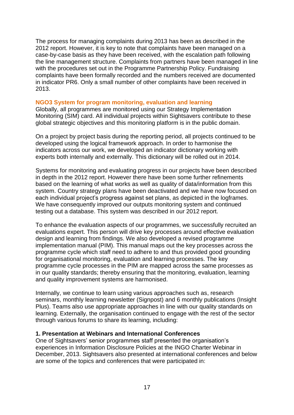The process for managing complaints during 2013 has been as described in the 2012 report. However, it is key to note that complaints have been managed on a case-by-case basis as they have been received, with the escalation path following the line management structure. Complaints from partners have been managed in line with the procedures set out in the Programme Partnership Policy. Fundraising complaints have been formally recorded and the numbers received are documented in indicator PR6. Only a small number of other complaints have been received in 2013.

### **NGO3 System for program monitoring, evaluation and learning**

Globally, all programmes are monitored using our Strategy Implementation Monitoring (SIM) card. All individual projects within Sightsavers contribute to these global strategic objectives and this monitoring platform is in the public domain.

On a project by project basis during the reporting period, all projects continued to be developed using the logical framework approach. In order to harmonise the indicators across our work, we developed an indicator dictionary working with experts both internally and externally. This dictionary will be rolled out in 2014.

Systems for monitoring and evaluating progress in our projects have been described in depth in the 2012 report. However there have been some further refinements based on the learning of what works as well as quality of data/information from this system. Country strategy plans have been deactivated and we have now focused on each individual project's progress against set plans, as depicted in the logframes. We have consequently improved our outputs monitoring system and continued testing out a database. This system was described in our 2012 report.

To enhance the evaluation aspects of our programmes, we successfully recruited an evaluations expert. This person will drive key processes around effective evaluation design and learning from findings. We also developed a revised programme implementation manual (PIM). This manual maps out the key processes across the programme cycle which staff need to adhere to and thus provided good grounding for organisational monitoring, evaluation and learning processes. The key programme cycle processes in the PIM are mapped across the same processes as in our quality standards; thereby ensuring that the monitoring, evaluation, learning and quality improvement systems are harmonised.

Internally, we continue to learn using various approaches such as, research seminars, monthly learning newsletter (Signpost) and 6 monthly publications (Insight Plus). Teams also use appropriate approaches in line with our quality standards on learning. Externally, the organisation continued to engage with the rest of the sector through various forums to share its learning, including:

#### **1. Presentation at Webinars and International Conferences**

One of Sightsavers' senior programmes staff presented the organisation's experiences in Information Disclosure Policies at the INGO Charter Webinar in December, 2013. Sightsavers also presented at international conferences and below are some of the topics and conferences that were participated in: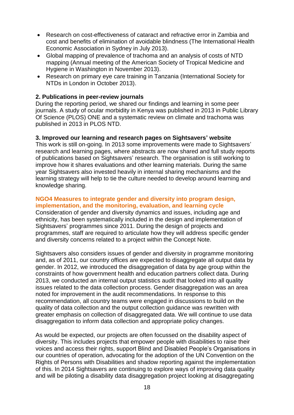- Research on cost-effectiveness of cataract and refractive error in Zambia and cost and benefits of elimination of avoidable blindness (The International Health Economic Association in Sydney in July 2013).
- Global mapping of prevalence of trachoma and an analysis of costs of NTD mapping (Annual meeting of the American Society of Tropical Medicine and Hygiene in Washington in November 2013).
- Research on primary eye care training in Tanzania (International Society for NTDs in London in October 2013).

## **2. Publications in peer-review journals**

During the reporting period, we shared our findings and learning in some peer journals. A study of ocular morbidity in Kenya was published in 2013 in [Public Library](http://www.plos.org/)  [Of Science](http://www.plos.org/) (PLOS) ONE and a systematic review on climate and trachoma was published in 2013 in PLOS NTD.

## **3. Improved our learning and research pages on Sightsavers' website**

This work is still on-going. In 2013 some improvements were made to Sightsavers' research and learning pages, where abstracts are now shared and full study reports of publications based on Sightsavers' research. The organisation is still working to improve how it shares evaluations and other learning materials. During the same year Sightsavers also invested heavily in internal sharing mechanisms and the learning strategy will help to tie the culture needed to develop around learning and knowledge sharing.

#### **NGO4 Measures to integrate gender and diversity into program design, implementation, and the monitoring, evaluation, and learning cycle**

Consideration of gender and diversity dynamics and issues, including age and ethnicity, has been systematically included in the design and implementation of Sightsavers' programmes since 2011. During the design of projects and programmes, staff are required to articulate how they will address specific gender and diversity concerns related to a project within the Concept Note.

Sightsavers also considers issues of gender and diversity in programme monitoring and, as of 2011, our country offices are expected to disaggregate all output data by gender. In 2012, we introduced the disaggregation of data by age group within the constraints of how government health and education partners collect data. During 2013, we conducted an internal output statistics audit that looked into all quality issues related to the data collection process. Gender disaggregation was an area noted for improvement in the audit recommendations. In response to this recommendation, all country teams were engaged in discussions to build on the quality of data collection and the output collection guidance was rewritten with greater emphasis on collection of disaggregated data. We will continue to use data disaggregation to inform data collection and appropriate policy changes.

As would be expected, our projects are often focussed on the disability aspect of diversity. This includes projects that empower people with disabilities to raise their voices and access their rights, support Blind and Disabled People's Organisations in our countries of operation, advocating for the adoption of the UN Convention on the Rights of Persons with Disabilities and shadow reporting against the implementation of this. In 2014 Sightsavers are continuing to explore ways of improving data quality and will be piloting a disability data disaggregation project looking at disaggregating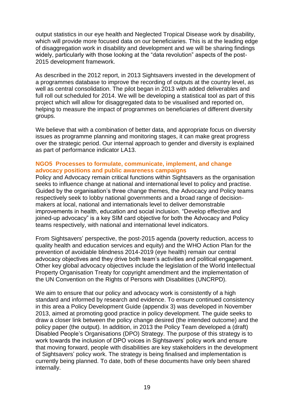output statistics in our eye health and Neglected Tropical Disease work by disability, which will provide more focused data on our beneficiaries. This is at the leading edge of disaggregation work in disability and development and we will be sharing findings widely, particularly with those looking at the "data revolution" aspects of the post-2015 development framework.

As described in the 2012 report, in 2013 Sightsavers invested in the development of a programmes database to improve the recording of outputs at the country level, as well as central consolidation. The pilot began in 2013 with added deliverables and full roll out scheduled for 2014. We will be developing a statistical tool as part of this project which will allow for disaggregated data to be visualised and reported on, helping to measure the impact of programmes on beneficiaries of different diversity groups.

We believe that with a combination of better data, and appropriate focus on diversity issues as programme planning and monitoring stages, it can make great progress over the strategic period. Our internal approach to gender and diversity is explained as part of performance indicator LA13.

## **NGO5 Processes to formulate, communicate, implement, and change advocacy positions and public awareness campaigns**

Policy and Advocacy remain critical functions within Sightsavers as the organisation seeks to influence change at national and international level to policy and practise. Guided by the organisation's three change themes, the Advocacy and Policy teams respectively seek to lobby national governments and a broad range of decisionmakers at local, national and internationals level to deliver demonstrable improvements in health, education and social inclusion. "Develop effective and joined-up advocacy" is a key SIM card objective for both the Advocacy and Policy teams respectively, with national and international level indicators.

From Sightsavers' perspective, the post-2015 agenda (poverty reduction, access to quality health and education services and equity) and the WHO Action Plan for the prevention of avoidable blindness 2014-2019 (eye health) remain our central advocacy objectives and they drive both team's activities and political engagement. Other key global advocacy objectives include the legislation of the World Intellectual Property Organisation Treaty for copyright amendment and the implementation of the UN Convention on the Rights of Persons with Disabilities (UNCRPD).

We aim to ensure that our policy and advocacy work is consistently of a high standard and informed by research and evidence. To ensure continued consistency in this area a Policy Development Guide (appendix 3) was developed in November 2013, aimed at promoting good practice in policy development. The guide seeks to draw a closer link between the policy change desired (the intended outcome) and the policy paper (the output). In addition, in 2013 the Policy Team developed a (draft) Disabled People's Organisations (DPO) Strategy. The purpose of this strategy is to work towards the inclusion of DPO voices in Sightsavers' policy work and ensure that moving forward, people with disabilities are key stakeholders in the development of Sightsavers' policy work. The strategy is being finalised and implementation is currently being planned. To date, both of these documents have only been shared internally.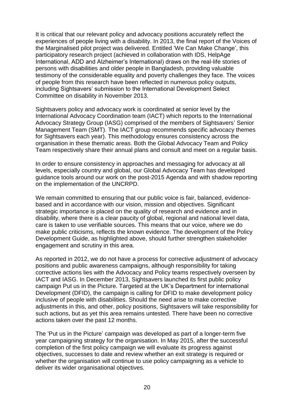It is critical that our relevant policy and advocacy positions accurately reflect the experiences of people living with a disability. In 2013, the final report of the Voices of the Marginalised pilot project was delivered. Entitled 'We Can Make Change', this participatory research project (achieved in collaboration with IDS, HelpAge International, ADD and Alzheimer's International) draws on the real-life stories of persons with disabilities and older people in Bangladesh, providing valuable testimony of the considerable equality and poverty challenges they face. The voices of people from this research have been reflected in numerous policy outputs, including Sightsavers' submission to the International Development Select Committee on disability in November 2013.

Sightsavers policy and advocacy work is coordinated at senior level by the International Advocacy Coordination team (IACT) which reports to the International Advocacy Strategy Group (IASG) comprised of the members of Sightsavers' Senior Management Team (SMT). The IACT group recommends specific advocacy themes for Sightsavers each year). This methodology ensures consistency across the organisation in these thematic areas. Both the Global Advocacy Team and Policy Team respectively share their annual plans and consult and meet on a regular basis.

In order to ensure consistency in approaches and messaging for advocacy at all levels, especially country and global, our Global Advocacy Team has developed guidance tools around our work on the post-2015 Agenda and with shadow reporting on the implementation of the UNCRPD.

We remain committed to ensuring that our public voice is fair, balanced, evidencebased and in accordance with our vision, mission and obiectives. Significant strategic importance is placed on the quality of research and evidence and in disability, where there is a clear paucity of global, regional and national level data, care is taken to use verifiable sources. This means that our voice, where we do make public criticisms, reflects the known evidence. The development of the Policy Development Guide, as highlighted above, should further strengthen stakeholder engagement and scrutiny in this area.

As reported in 2012, we do not have a process for corrective adjustment of advocacy positions and public awareness campaigns, although responsibility for taking corrective actions lies with the Advocacy and Policy teams respectively overseen by IACT and IASG. In December 2013, Sightsavers launched its first public policy campaign Put us in the Picture. Targeted at the UK's Department for international Development (DFID), the campaign is calling for DFID to make development policy inclusive of people with disabilities. Should the need arise to make corrective adjustments in this, and other, policy positions, Sightsavers will take responsibility for such actions, but as yet this area remains untested. There have been no corrective actions taken over the past 12 months.

The 'Put us in the Picture' campaign was developed as part of a longer-term five year campaigning strategy for the organisation. In May 2015, after the successful completion of the first policy campaign we will evaluate its progress against objectives, successes to date and review whether an exit strategy is required or whether the organisation will continue to use policy campaigning as a vehicle to deliver its wider organisational objectives.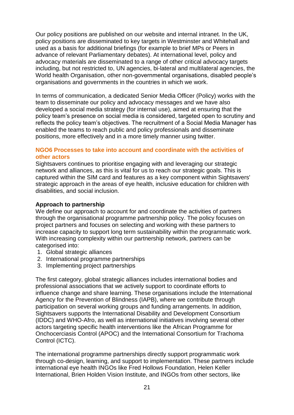Our policy positions are published on our website and internal intranet. In the UK, policy positions are disseminated to key targets in Westminster and Whitehall and used as a basis for additional briefings (for example to brief MPs or Peers in advance of relevant Parliamentary debates). At international level, policy and advocacy materials are disseminated to a range of other critical advocacy targets including, but not restricted to, UN agencies, bi-lateral and multilateral agencies, the World health Organisation, other non-governmental organisations, disabled people's organisations and governments in the countries in which we work.

In terms of communication, a dedicated Senior Media Officer (Policy) works with the team to disseminate our policy and advocacy messages and we have also developed a social media strategy (for internal use), aimed at ensuring that the policy team's presence on social media is considered, targeted open to scrutiny and reflects the policy team's objectives. The recruitment of a Social Media Manager has enabled the teams to reach public and policy professionals and disseminate positions, more effectively and in a more timely manner using twitter.

### **NGO6 Processes to take into account and coordinate with the activities of other actors**

Sightsavers continues to prioritise engaging with and leveraging our strategic network and alliances, as this is vital for us to reach our strategic goals. This is captured within the SIM card and features as a key component within Sightsavers' strategic approach in the areas of eye health, inclusive education for children with disabilities, and social inclusion.

## **Approach to partnership**

We define our approach to account for and coordinate the activities of partners through the organisational programme partnership policy. The policy focuses on project partners and focuses on selecting and working with these partners to increase capacity to support long term sustainability within the programmatic work. With increasing complexity within our partnership network, partners can be categorised into:

- 1. Global strategic alliances
- 2. International programme partnerships
- 3. Implementing project partnerships

The first category, global strategic alliances includes international bodies and professional associations that we actively support to coordinate efforts to influence change and share learning. These organisations include the International Agency for the Prevention of Blindness (IAPB), where we contribute through participation on several working groups and funding arrangements. In addition, Sightsavers supports the International Disability and Development Consortium (IDDC) and WHO-Afro, as well as international initiatives involving several other actors targeting specific health interventions like the African Programme for Onchocerciasis Control (APOC) and the International Consortium for Trachoma Control (ICTC).

The international programme partnerships directly support programmatic work through co-design, learning, and support to implementation. These partners include international eye health INGOs like Fred Hollows Foundation, Helen Keller International, Brien Holden Vision Institute, and INGOs from other sectors, like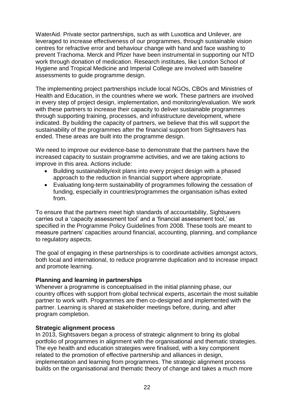WaterAid. Private sector partnerships, such as with Luxottica and Unilever, are leveraged to increase effectiveness of our programmes, through sustainable vision centres for refractive error and behaviour change with hand and face washing to prevent Trachoma. Merck and Pfizer have been instrumental in supporting our NTD work through donation of medication. Research institutes, like London School of Hygiene and Tropical Medicine and Imperial College are involved with baseline assessments to guide programme design.

The implementing project partnerships include local NGOs, CBOs and Ministries of Health and Education, in the countries where we work. These partners are involved in every step of project design, implementation, and monitoring/evaluation. We work with these partners to increase their capacity to deliver sustainable programmes through supporting training, processes, and infrastructure development, where indicated. By building the capacity of partners, we believe that this will support the sustainability of the programmes after the financial support from Sightsavers has ended. These areas are built into the programme design.

We need to improve our evidence-base to demonstrate that the partners have the increased capacity to sustain programme activities, and we are taking actions to improve in this area. Actions include:

- Building sustainability/exit plans into every project design with a phased approach to the reduction in financial support where appropriate.
- Evaluating long-term sustainability of programmes following the cessation of funding, especially in countries/programmes the organisation is/has exited from.

To ensure that the partners meet high standards of accountability, Sightsavers carries out a 'capacity assessment tool' and a 'financial assessment tool,' as specified in the Programme Policy Guidelines from 2008. These tools are meant to measure partners' capacities around financial, accounting, planning, and compliance to regulatory aspects.

The goal of engaging in these partnerships is to coordinate activities amongst actors. both local and international, to reduce programme duplication and to increase impact and promote learning.

## **Planning and learning in partnerships**

Whenever a programme is conceptualised in the initial planning phase, our country offices with support from global technical experts, ascertain the most suitable partner to work with. Programmes are then co-designed and implemented with the partner. Learning is shared at stakeholder meetings before, during, and after program completion.

#### **Strategic alignment process**

In 2013, Sightsavers began a process of strategic alignment to bring its global portfolio of programmes in alignment with the organisational and thematic strategies. The eye health and education strategies were finalised, with a key component related to the promotion of effective partnership and alliances in design, implementation and learning from programmes. The strategic alignment process builds on the organisational and thematic theory of change and takes a much more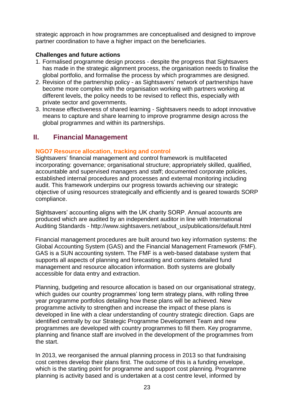strategic approach in how programmes are conceptualised and designed to improve partner coordination to have a higher impact on the beneficiaries.

## **Challenges and future actions**

- 1. Formalised programme design process despite the progress that Sightsavers has made in the strategic alignment process, the organisation needs to finalise the global portfolio, and formalise the process by which programmes are designed.
- 2. Revision of the partnership policy as Sightsavers' network of partnerships have become more complex with the organisation working with partners working at different levels, the policy needs to be revised to reflect this, especially with private sector and governments.
- 3. Increase effectiveness of shared learning Sightsavers needs to adopt innovative means to capture and share learning to improve programme design across the global programmes and within its partnerships.

## **II. Financial Management**

## **NGO7 Resource allocation, tracking and control**

Sightsavers' financial management and control framework is multifaceted incorporating: governance; organisational structure; appropriately skilled, qualified, accountable and supervised managers and staff; documented corporate policies, established internal procedures and processes and external monitoring including audit. This framework underpins our progress towards achieving our strategic objective of using resources strategically and efficiently and is geared towards SORP compliance.

Sightsavers' accounting aligns with the UK charity SORP. Annual accounts are produced which are audited by an independent auditor in line with International Auditing Standards - http://www.sightsavers.net/about\_us/publications/default.html

Financial management procedures are built around two key information systems: the Global Accounting System (GAS) and the Financial Management Framework (FMF). GAS is a SUN accounting system. The FMF is a web-based database system that supports all aspects of planning and forecasting and contains detailed fund management and resource allocation information. Both systems are globally accessible for data entry and extraction.

Planning, budgeting and resource allocation is based on our organisational strategy, which guides our country programmes' long term strategy plans, with rolling three year programme portfolios detailing how these plans will be achieved. New programme activity to strengthen and increase the impact of these plans is developed in line with a clear understanding of country strategic direction. Gaps are identified centrally by our Strategic Programme Development Team and new programmes are developed with country programmes to fill them. Key programme, planning and finance staff are involved in the development of the programmes from the start.

In 2013, we reorganised the annual planning process in 2013 so that fundraising cost centres develop their plans first. The outcome of this is a funding envelope, which is the starting point for programme and support cost planning. Programme planning is activity based and is undertaken at a cost centre level, informed by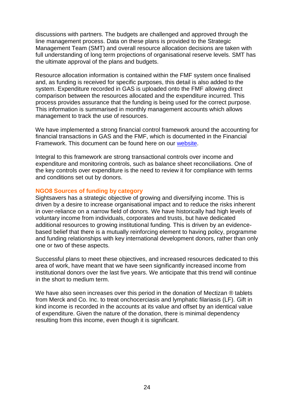discussions with partners. The budgets are challenged and approved through the line management process. Data on these plans is provided to the Strategic Management Team (SMT) and overall resource allocation decisions are taken with full understanding of long term projections of organisational reserve levels. SMT has the ultimate approval of the plans and budgets.

Resource allocation information is contained within the FMF system once finalised and, as funding is received for specific purposes, this detail is also added to the system. Expenditure recorded in GAS is uploaded onto the FMF allowing direct comparison between the resources allocated and the expenditure incurred. This process provides assurance that the funding is being used for the correct purpose. This information is summarised in monthly management accounts which allows management to track the use of resources.

We have implemented a strong financial control framework around the accounting for financial transactions in GAS and the FMF, which is documented in the Financial Framework. This document can be found here on our [website.](http://www.sightsavers.org/in_depth/quality_and_learning/organisational_monitoring/14042.html)

Integral to this framework are strong transactional controls over income and expenditure and monitoring controls, such as balance sheet reconciliations. One of the key controls over expenditure is the need to review it for compliance with terms and conditions set out by donors.

## **NGO8 Sources of funding by category**

Sightsavers has a strategic objective of growing and diversifying income. This is driven by a desire to increase organisational impact and to reduce the risks inherent in over-reliance on a narrow field of donors. We have historically had high levels of voluntary income from individuals, corporates and trusts, but have dedicated additional resources to growing institutional funding. This is driven by an evidencebased belief that there is a mutually reinforcing element to having policy, programme and funding relationships with key international development donors, rather than only one or two of these aspects.

Successful plans to meet these objectives, and increased resources dedicated to this area of work, have meant that we have seen significantly increased income from institutional donors over the last five years. We anticipate that this trend will continue in the short to medium term.

We have also seen increases over this period in the donation of Mectizan ® tablets from Merck and Co. Inc. to treat onchocerciasis and lymphatic filariasis (LF). Gift in kind income is recorded in the accounts at its value and offset by an identical value of expenditure. Given the nature of the donation, there is minimal dependency resulting from this income, even though it is significant.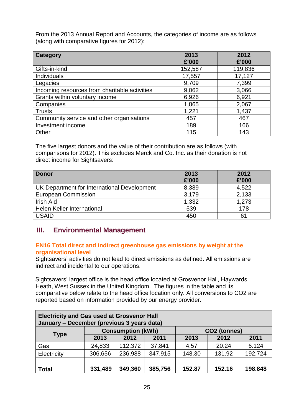From the 2013 Annual Report and Accounts, the categories of income are as follows (along with comparative figures for 2012):

| <b>Category</b>                               | 2013    | 2012    |
|-----------------------------------------------|---------|---------|
|                                               | £'000   | £'000   |
| Gifts-in-kind                                 | 152,587 | 119,836 |
| Individuals                                   | 17,557  | 17,127  |
| Legacies                                      | 9,709   | 7,399   |
| Incoming resources from charitable activities | 9,062   | 3,066   |
| Grants within voluntary income                | 6,926   | 6,921   |
| Companies                                     | 1,865   | 2,067   |
| <b>Trusts</b>                                 | 1,221   | 1,437   |
| Community service and other organisations     | 457     | 467     |
| Investment income                             | 189     | 166     |
| Other                                         | 115     | 143     |

The five largest donors and the value of their contribution are as follows (with comparisons for 2012). This excludes Merck and Co. Inc. as their donation is not direct income for Sightsavers:

| <b>Donor</b>                                | 2013<br>£'000 | 2012<br>£'000 |
|---------------------------------------------|---------------|---------------|
| UK Department for International Development | 8,389         | 4.522         |
| <b>European Commission</b>                  | 3,179         | 2,133         |
| Irish Aid                                   | 1,332         | 1,273         |
| Helen Keller International                  | 539           | 178           |
| <b>USAID</b>                                | 450           | 61            |

## **III. Environmental Management**

## **EN16 Total direct and indirect greenhouse gas emissions by weight at the organisational level**

Sightsavers' activities do not lead to direct emissions as defined. All emissions are indirect and incidental to our operations.

Sightsavers' largest office is the head office located at Grosvenor Hall, Haywards Heath, West Sussex in the United Kingdom. The figures in the table and its comparative below relate to the head office location only. All conversions to CO2 are reported based on information provided by our energy provider.

| <b>Electricity and Gas used at Grosvenor Hall</b><br>January - December (previous 3 years data) |         |                          |         |        |                          |         |
|-------------------------------------------------------------------------------------------------|---------|--------------------------|---------|--------|--------------------------|---------|
|                                                                                                 |         | <b>Consumption (kWh)</b> |         |        | CO <sub>2</sub> (tonnes) |         |
| <b>Type</b>                                                                                     | 2013    | 2012                     | 2011    | 2013   | 2012                     | 2011    |
| Gas                                                                                             | 24,833  | 112,372                  | 37,841  | 4.57   | 20.24                    | 6.124   |
| Electricity                                                                                     | 306,656 | 236,988                  | 347,915 | 148.30 | 131.92                   | 192.724 |
|                                                                                                 |         |                          |         |        |                          |         |
| <b>Total</b>                                                                                    | 331,489 | 349,360                  | 385,756 | 152.87 | 152.16                   | 198.848 |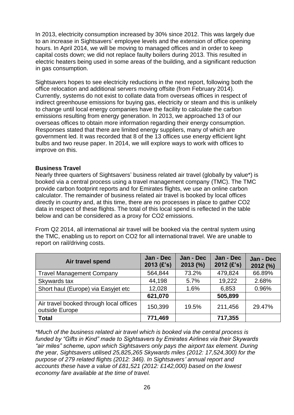In 2013, electricity consumption increased by 30% since 2012. This was largely due to an increase in Sightsavers' employee levels and the extension of office opening hours. In April 2014, we will be moving to managed offices and in order to keep capital costs down; we did not replace faulty boilers during 2013. This resulted in electric heaters being used in some areas of the building, and a significant reduction in gas consumption.

Sightsavers hopes to see electricity reductions in the next report, following both the office relocation and additional servers moving offsite (from February 2014). Currently, systems do not exist to collate data from overseas offices in respect of indirect greenhouse emissions for buying gas, electricity or steam and this is unlikely to change until local energy companies have the facility to calculate the carbon emissions resulting from energy generation. In 2013, we approached 13 of our overseas offices to obtain more information regarding their energy consumption. Responses stated that there are limited energy suppliers, many of which are government led. It was recorded that 8 of the 13 offices use energy efficient light bulbs and two reuse paper. In 2014, we will explore ways to work with offices to improve on this.

#### **Business Travel**

Nearly three quarters of Sightsavers' business related air travel (globally by value\*) is booked via a central process using a travel management company (TMC). The TMC provide carbon footprint reports and for Emirates flights, we use an online carbon calculator. The remainder of business related air travel is booked by local offices directly in country and, at this time, there are no processes in place to gather CO2 data in respect of these flights. The total of this local spend is reflected in the table below and can be considered as a proxy for CO2 emissions.

From Q2 2014, all international air travel will be booked via the central system using the TMC, enabling us to report on CO2 for all international travel. We are unable to report on rail/driving costs.

| Air travel spend                                          | Jan - Dec<br>$2013$ (£'s) | Jan - Dec<br>2013 (%) | Jan - Dec<br>$2012$ (£'s) | Jan - Dec<br>2012 (%) |
|-----------------------------------------------------------|---------------------------|-----------------------|---------------------------|-----------------------|
| <b>Travel Management Company</b>                          | 564,844                   | 73.2%                 | 479,824                   | 66.89%                |
| Skywards tax                                              | 44,198                    | 5.7%                  | 19,222                    | 2.68%                 |
| Short haul (Europe) via Easyjet etc                       | 12,028                    | 1.6%                  | 6,853                     | 0.96%                 |
|                                                           | 621,070                   |                       | 505,899                   |                       |
| Air travel booked through local offices<br>outside Europe | 150,399                   | 19.5%                 | 211,456                   | 29.47%                |
| <b>Total</b>                                              | 771,469                   |                       | 717,355                   |                       |

*\*Much of the business related air travel which is booked via the central process is funded by "Gifts in Kind" made to Sightsavers by Emirates Airlines via their Skywards "air miles" scheme, upon which Sightsavers only pays the airport tax element. During the year, Sightsavers utilised 25,825,265 Skywards miles (2012: 17,524,300) for the purpose of 279 related flights (2012: 346). In Sightsavers' annual report and accounts these have a value of £81,521 (2012: £142,000) based on the lowest economy fare available at the time of travel.*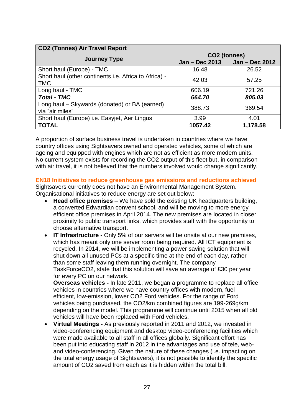| <b>CO2 (Tonnes) Air Travel Report</b>                 |                |                |  |  |  |
|-------------------------------------------------------|----------------|----------------|--|--|--|
|                                                       | CO2 (tonnes)   |                |  |  |  |
| <b>Journey Type</b>                                   | Jan - Dec 2013 | Jan - Dec 2012 |  |  |  |
| Short haul (Europe) - TMC                             | 16.48          | 26.52          |  |  |  |
| Short haul (other continents i.e. Africa to Africa) - | 42.03          | 57.25          |  |  |  |
| <b>TMC</b>                                            |                |                |  |  |  |
| Long haul - TMC                                       | 606.19         | 721.26         |  |  |  |
| <b>Total - TMC</b>                                    | 664.70         | 805.03         |  |  |  |
| Long haul - Skywards (donated) or BA (earned)         | 388.73         | 369.54         |  |  |  |
| via "air miles"                                       |                |                |  |  |  |
| Short haul (Europe) i.e. Easyjet, Aer Lingus          | 3.99           | 4.01           |  |  |  |
| <b>TOTAL</b>                                          | 1057.42        | 1,178.58       |  |  |  |

A proportion of surface business travel is undertaken in countries where we have country offices using Sightsavers owned and operated vehicles, some of which are ageing and equipped with engines which are not as efficient as more modern units. No current system exists for recording the CO2 output of this fleet but, in comparison with air travel, it is not believed that the numbers involved would change significantly.

**EN18 Initiatives to reduce greenhouse gas emissions and reductions achieved**

Sightsavers currently does not have an Environmental Management System. Organisational initiatives to reduce energy are set out below:

- **Head office premises** We have sold the existing UK headquarters building, a converted Edwardian convent school, and will be moving to more energy efficient office premises in April 2014. The new premises are located in closer proximity to public transport links, which provides staff with the opportunity to choose alternative transport.
- **IT Infrastructure -** Only 5% of our servers will be onsite at our new premises, which has meant only one server room being required. All ICT equipment is recycled. In 2014, we will be implementing a power saving solution that will shut down all unused PCs at a specific time at the end of each day, rather than some staff leaving them running overnight. The company TaskForceCO2, state that this solution will save an average of £30 per year for every PC on our network.

**Overseas vehicles -** In late 2011, we began a programme to replace all office vehicles in countries where we have country offices with modern, fuel efficient, low-emission, lower CO2 Ford vehicles. For the range of Ford vehicles being purchased, the CO2/km combined figures are 199-269g/km depending on the model. This programme will continue until 2015 when all old vehicles will have been replaced with Ford vehicles.

 **Virtual Meetings** *-* As previously reported in 2011 and 2012, we invested in video-conferencing equipment and desktop video-conferencing facilities which were made available to all staff in all offices globally. Significant effort has been put into educating staff in 2012 in the advantages and use of tele, weband video-conferencing. Given the nature of these changes (i.e. impacting on the total energy usage of Sightsavers), it is not possible to identify the specific amount of CO2 saved from each as it is hidden within the total bill.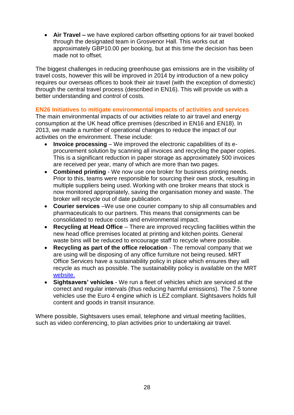**Air Travel –** we have explored carbon offsetting options for air travel booked through the designated team in Grosvenor Hall. This works out at approximately GBP10.00 per booking, but at this time the decision has been made not to offset.

The biggest challenges in reducing greenhouse gas emissions are in the visibility of travel costs, however this will be improved in 2014 by introduction of a new policy requires our overseas offices to book their air travel (with the exception of domestic) through the central travel process (described in EN16). This will provide us with a better understanding and control of costs.

## **EN26 Initiatives to mitigate environmental impacts of activities and services**

The main environmental impacts of our activities relate to air travel and energy consumption at the UK head office premises (described in EN16 and EN18). In 2013, we made a number of operational changes to reduce the impact of our activities on the environment. These include:

- **Invoice processing** We improved the electronic capabilities of its eprocurement solution by scanning all invoices and recycling the paper copies. This is a significant reduction in paper storage as approximately 500 invoices are received per year, many of which are more than two pages.
- **Combined printing** We now use one broker for business printing needs. Prior to this, teams were responsible for sourcing their own stock, resulting in multiple suppliers being used. Working with one broker means that stock is now monitored appropriately, saving the organisation money and waste. The broker will recycle out of date publication.
- **Courier services** –We use one courier company to ship all consumables and pharmaceuticals to our partners. This means that consignments can be consolidated to reduce costs and environmental impact.
- **Recycling at Head Office** There are improved recycling facilities within the new head office premises located at printing and kitchen points. General waste bins will be reduced to encourage staff to recycle where possible.
- **Recycling as part of the office relocation** The removal company that we are using will be disposing of any office furniture not being reused. MRT Office Services have a sustainability policy in place which ensures they will recycle as much as possible. The sustainability policy is available on the MRT [website.](http://www.mrtservices.co.uk/green-credentials.html)
- **Sightsavers' vehicles** We run a fleet of vehicles which are serviced at the correct and regular intervals (thus reducing harmful emissions). The 7.5 tonne vehicles use the Euro 4 engine which is LEZ compliant. Sightsavers holds full content and goods in transit insurance.

Where possible, Sightsavers uses email, telephone and virtual meeting facilities, such as video conferencing, to plan activities prior to undertaking air travel.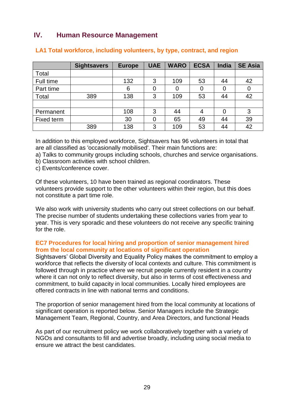## **IV. Human Resource Management**

|            | <b>Sightsavers</b> | <b>Europe</b> | <b>UAE</b> | <b>WARO</b> | <b>ECSA</b>    | <b>India</b> | <b>SE Asia</b> |
|------------|--------------------|---------------|------------|-------------|----------------|--------------|----------------|
| Total      |                    |               |            |             |                |              |                |
| Full time  |                    | 132           | 3          | 109         | 53             | 44           | 42             |
| Part time  |                    | 6             | 0          |             | $\overline{0}$ | 0            | 0              |
| Total      | 389                | 138           | 3          | 109         | 53             | 44           | 42             |
|            |                    |               |            |             |                |              |                |
| Permanent  |                    | 108           | 3          | 44          | 4              | 0            | 3              |
| Fixed term |                    | 30            | 0          | 65          | 49             | 44           | 39             |
|            | 389                | 138           | 3          | 109         | 53             | 44           | 42             |

## **LA1 Total workforce, including volunteers, by type, contract, and region**

In addition to this employed workforce, Sightsavers has 96 volunteers in total that are all classified as 'occasionally mobilised'. Their main functions are:

a) Talks to community groups including schools, churches and service organisations.

b) Classroom activities with school children.

c) Events/conference cover.

Of these volunteers, 10 have been trained as regional coordinators. These volunteers provide support to the other volunteers within their region, but this does not constitute a part time role.

We also work with university students who carry out street collections on our behalf. The precise number of students undertaking these collections varies from year to year. This is very sporadic and these volunteers do not receive any specific training for the role.

## **EC7 Procedures for local hiring and proportion of senior management hired from the local community at locations of significant operation**

Sightsavers' Global Diversity and Equality Policy makes the commitment to employ a workforce that reflects the diversity of local contexts and culture. This commitment is followed through in practice where we recruit people currently resident in a country where it can not only to reflect diversity, but also in terms of cost effectiveness and commitment, to build capacity in local communities. Locally hired employees are offered contracts in line with national terms and conditions.

The proportion of senior management hired from the local community at locations of significant operation is reported below. Senior Managers include the Strategic Management Team, Regional, Country, and Area Directors, and functional Heads

As part of our recruitment policy we work collaboratively together with a variety of NGOs and consultants to fill and advertise broadly, including using social media to ensure we attract the best candidates.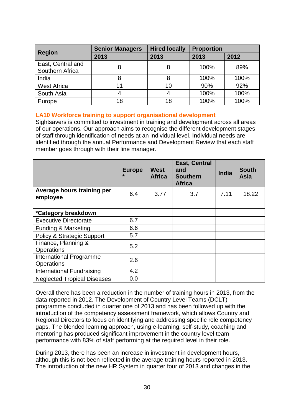| <b>Region</b>      | <b>Senior Managers</b> | <b>Hired locally</b> | <b>Proportion</b> |      |  |
|--------------------|------------------------|----------------------|-------------------|------|--|
|                    | 2013                   | 2013                 | 2013              | 2012 |  |
| East, Central and  | 8                      |                      | 100%              | 89%  |  |
| Southern Africa    |                        |                      |                   |      |  |
| India              |                        |                      | 100%              | 100% |  |
| <b>West Africa</b> | 11                     | 10                   | 90%               | 92%  |  |
| South Asia         |                        |                      | 100%              | 100% |  |
| Europe             | 18                     | 18                   | 100%              | 100% |  |

#### **LA10 Workforce training to support organisational development**

Sightsavers is committed to investment in training and development across all areas of our operations. Our approach aims to recognise the different development stages of staff through identification of needs at an individual level. Individual needs are identified through the annual Performance and Development Review that each staff member goes through with their line manager.

|                                              | <b>Europe</b> | West<br><b>Africa</b> | <b>East, Central</b><br>and<br><b>Southern</b><br><b>Africa</b> | <b>India</b> | <b>South</b><br><b>Asia</b> |
|----------------------------------------------|---------------|-----------------------|-----------------------------------------------------------------|--------------|-----------------------------|
| Average hours training per<br>employee       | 6.4           | 3.77                  | 3.7                                                             | 7.11         | 18.22                       |
| *Category breakdown                          |               |                       |                                                                 |              |                             |
| <b>Executive Directorate</b>                 | 6.7           |                       |                                                                 |              |                             |
| <b>Funding &amp; Marketing</b>               | 6.6           |                       |                                                                 |              |                             |
| <b>Policy &amp; Strategic Support</b>        | 5.7           |                       |                                                                 |              |                             |
| Finance, Planning &<br><b>Operations</b>     | 5.2           |                       |                                                                 |              |                             |
| <b>International Programme</b><br>Operations | 2.6           |                       |                                                                 |              |                             |
| International Fundraising                    | 4.2           |                       |                                                                 |              |                             |
| <b>Neglected Tropical Diseases</b>           | 0.0           |                       |                                                                 |              |                             |

Overall there has been a reduction in the number of training hours in 2013, from the data reported in 2012. The Development of Country Level Teams (DCLT) programme concluded in quarter one of 2013 and has been followed up with the introduction of the competency assessment framework, which allows Country and Regional Directors to focus on identifying and addressing specific role competency gaps. The blended learning approach, using e-learning, self-study, coaching and mentoring has produced significant improvement in the country level team performance with 83% of staff performing at the required level in their role.

During 2013, there has been an increase in investment in development hours, although this is not been reflected in the average training hours reported in 2013. The introduction of the new HR System in quarter four of 2013 and changes in the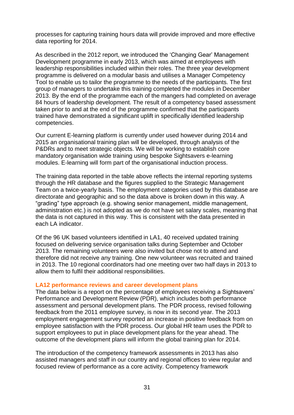processes for capturing training hours data will provide improved and more effective data reporting for 2014.

As described in the 2012 report, we introduced the 'Changing Gear' Management Development programme in early 2013, which was aimed at employees with leadership responsibilities included within their roles. The three year development programme is delivered on a modular basis and utilises a Manager Competency Tool to enable us to tailor the programme to the needs of the participants. The first group of managers to undertake this training completed the modules in December 2013. By the end of the programme each of the mangers had completed on average 84 hours of leadership development. The result of a competency based assessment taken prior to and at the end of the programme confirmed that the participants trained have demonstrated a significant uplift in specifically identified leadership competencies.

Our current E-learning platform is currently under used however during 2014 and 2015 an organisational training plan will be developed, through analysis of the P&DRs and to meet strategic objects. We will be working to establish core mandatory organisation wide training using bespoke Sightsavers e-learning modules. E-learning will form part of the organisational induction process.

The training data reported in the table above reflects the internal reporting systems through the HR database and the figures supplied to the Strategic Management Team on a twice-yearly basis. The employment categories used by this database are directorate and geographic and so the data above is broken down in this way. A "grading" type approach (e.g. showing senior management, middle management, administration etc.) is not adopted as we do not have set salary scales, meaning that the data is not captured in this way. This is consistent with the data presented in each LA indicator.

Of the 96 UK based volunteers identified in LA1, 40 received updated training focused on delivering service organisation talks during September and October 2013. The remaining volunteers were also invited but chose not to attend and therefore did not receive any training. One new volunteer was recruited and trained in 2013. The 10 regional coordinators had one meeting over two half days in 2013 to allow them to fulfil their additional responsibilities.

#### **LA12 performance reviews and career development plans**

The data below is a report on the percentage of employees receiving a Sightsavers' Performance and Development Review (PDR), which includes both performance assessment and personal development plans. The PDR process, revised following feedback from the 2011 employee survey, is now in its second year. The 2013 employment engagement survey reported an increase in positive feedback from on employee satisfaction with the PDR process. Our global HR team uses the PDR to support employees to put in place development plans for the year ahead. The outcome of the development plans will inform the global training plan for 2014.

The introduction of the competency framework assessments in 2013 has also assisted managers and staff in our country and regional offices to view regular and focused review of performance as a core activity. Competency framework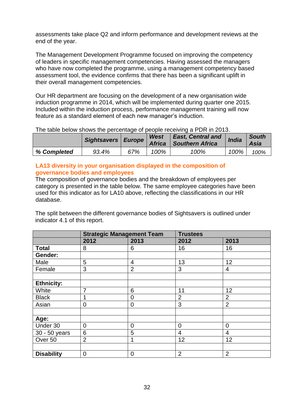assessments take place Q2 and inform performance and development reviews at the end of the year.

The Management Development Programme focused on improving the competency of leaders in specific management competencies. Having assessed the managers who have now completed the programme, using a management competency based assessment tool, the evidence confirms that there has been a significant uplift in their overall management competencies.

Our HR department are focusing on the development of a new organisation wide induction programme in 2014, which will be implemented during quarter one 2015. Included within the induction process, performance management training will now feature as a standard element of each new manager's induction.

|             | Sightsavers Europe Africa |     | West | <b>East, Central and</b><br>Southern Africa | India | <b>South</b><br>Asia |
|-------------|---------------------------|-----|------|---------------------------------------------|-------|----------------------|
| % Completed | 93.4%                     | 67% | 100% | 100%                                        | 100%  | 100%                 |

## The table below shows the percentage of people receiving a PDR in 2013.

## **LA13 diversity in your organisation displayed in the composition of governance bodies and employees**

The composition of governance bodies and the breakdown of employees per category is presented in the table below. The same employee categories have been used for this indicator as for LA10 above, reflecting the classifications in our HR database.

The split between the different governance bodies of Sightsavers is outlined under indicator 4.1 of this report.

|                   | <b>Strategic Management Team</b> |                | <b>Trustees</b> |                |  |
|-------------------|----------------------------------|----------------|-----------------|----------------|--|
|                   | 2012                             | 2013           | 2012            | 2013           |  |
| <b>Total</b>      | 8                                | 6              | 16              | 16             |  |
| Gender:           |                                  |                |                 |                |  |
| Male              | 5                                | $\overline{4}$ | 13              | 12             |  |
| Female            | 3                                | $\overline{2}$ | 3               | 4              |  |
|                   |                                  |                |                 |                |  |
| <b>Ethnicity:</b> |                                  |                |                 |                |  |
| White             | 7                                | 6              | 11              | 12             |  |
| <b>Black</b>      |                                  | 0              | $\overline{2}$  | $\overline{2}$ |  |
| Asian             | $\overline{0}$                   | $\overline{0}$ | 3               | $\overline{2}$ |  |
|                   |                                  |                |                 |                |  |
| Age:              |                                  |                |                 |                |  |
| Under 30          | $\overline{0}$                   | $\overline{0}$ | $\overline{0}$  | $\overline{0}$ |  |
| 30 - 50 years     | 6                                | 5              | 4               | 4              |  |
| Over 50           | $\overline{2}$                   | 1              | 12              | 12             |  |
|                   |                                  |                |                 |                |  |
| <b>Disability</b> | $\mathbf 0$                      | 0              | $\overline{2}$  | $\overline{2}$ |  |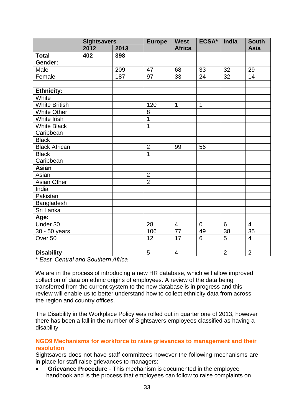|                      | <b>Sightsavers</b> |      | <b>Europe</b>  | <b>West</b>              | ECSA*          | India          | <b>South</b>   |
|----------------------|--------------------|------|----------------|--------------------------|----------------|----------------|----------------|
|                      | 2012               | 2013 |                | <b>Africa</b>            |                |                | <b>Asia</b>    |
| <b>Total</b>         | 402                | 398  |                |                          |                |                |                |
| Gender:              |                    |      |                |                          |                |                |                |
| Male                 |                    | 209  | 47             | 68                       | 33             | 32             | 29             |
| Female               |                    | 187  | 97             | 33                       | 24             | 32             | 14             |
|                      |                    |      |                |                          |                |                |                |
| <b>Ethnicity:</b>    |                    |      |                |                          |                |                |                |
| White                |                    |      |                |                          |                |                |                |
| <b>White British</b> |                    |      | 120            | $\mathbf{1}$             | $\mathbf{1}$   |                |                |
| <b>White Other</b>   |                    |      | 8              |                          |                |                |                |
| <b>White Irish</b>   |                    |      | $\mathbf{1}$   |                          |                |                |                |
| <b>White Black</b>   |                    |      | $\overline{1}$ |                          |                |                |                |
| Caribbean            |                    |      |                |                          |                |                |                |
| <b>Black</b>         |                    |      |                |                          |                |                |                |
| <b>Black African</b> |                    |      | $\overline{2}$ | 99                       | 56             |                |                |
| <b>Black</b>         |                    |      | $\overline{1}$ |                          |                |                |                |
| Caribbean            |                    |      |                |                          |                |                |                |
| <b>Asian</b>         |                    |      |                |                          |                |                |                |
| Asian                |                    |      | $\overline{2}$ |                          |                |                |                |
| <b>Asian Other</b>   |                    |      | $\overline{2}$ |                          |                |                |                |
| India                |                    |      |                |                          |                |                |                |
| Pakistan             |                    |      |                |                          |                |                |                |
| Bangladesh           |                    |      |                |                          |                |                |                |
| Sri Lanka            |                    |      |                |                          |                |                |                |
| Age:                 |                    |      |                |                          |                |                |                |
| Under 30             |                    |      | 28             | $\overline{4}$           | $\overline{0}$ | 6              | $\overline{4}$ |
| 30 - 50 years        |                    |      | 106            | $\overline{77}$          | 49             | 38             | 35             |
| Over <sub>50</sub>   |                    |      | 12             | 17                       | 6              | 5              | $\overline{4}$ |
|                      |                    |      |                |                          |                |                |                |
| <b>Disability</b>    |                    |      | 5              | $\overline{\mathcal{A}}$ |                | $\overline{2}$ | $\overline{2}$ |

\* *East, Central and Southern Africa*

We are in the process of introducing a new HR database, which will allow improved collection of data on ethnic origins of employees. A review of the data being transferred from the current system to the new database is in progress and this review will enable us to better understand how to collect ethnicity data from across the region and country offices.

The Disability in the Workplace Policy was rolled out in quarter one of 2013, however there has been a fall in the number of Sightsavers employees classified as having a disability.

## **NGO9 Mechanisms for workforce to raise grievances to management and their resolution**

Sightsavers does not have staff committees however the following mechanisms are in place for staff raise grievances to managers:

 **Grievance Procedure** - This mechanism is documented in the employee handbook and is the process that employees can follow to raise complaints on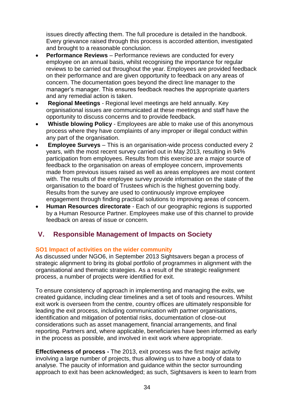issues directly affecting them. The full procedure is detailed in the handbook. Every grievance raised through this process is accorded attention, investigated and brought to a reasonable conclusion.

- **Performance Reviews** Performance reviews are conducted for every employee on an annual basis, whilst recognising the importance for regular reviews to be carried out throughout the year. Employees are provided feedback on their performance and are given opportunity to feedback on any areas of concern. The documentation goes beyond the direct line manager to the manager's manager. This ensures feedback reaches the appropriate quarters and any remedial action is taken.
- **Regional Meetings** Regional level meetings are held annually. Key organisational issues are communicated at these meetings and staff have the opportunity to discuss concerns and to provide feedback.
- **Whistle blowing Policy** Employees are able to make use of this anonymous process where they have complaints of any improper or illegal conduct within any part of the organisation.
- **Employee Surveys** This is an organisation-wide process conducted every 2 years, with the most recent survey carried out in May 2013, resulting in 94% participation from employees. Results from this exercise are a major source of feedback to the organisation on areas of employee concern, improvements made from previous issues raised as well as areas employees are most content with. The results of the employee survey provide information on the state of the organisation to the board of Trustees which is the highest governing body. Results from the survey are used to continuously improve employee engagement through finding practical solutions to improving areas of concern.
- **Human Resources directorate** Each of our geographic regions is supported by a Human Resource Partner. Employees make use of this channel to provide feedback on areas of issue or concern.

## **V. Responsible Management of Impacts on Society**

## **SO1 Impact of activities on the wider community**

As discussed under NGO6, in September 2013 Sightsavers began a process of strategic alignment to bring its global portfolio of programmes in alignment with the organisational and thematic strategies. As a result of the strategic realignment process, a number of projects were identified for exit.

To ensure consistency of approach in implementing and managing the exits, we created guidance, including clear timelines and a set of tools and resources. Whilst exit work is overseen from the centre, country offices are ultimately responsible for leading the exit process, including communication with partner organisations, identification and mitigation of potential risks, documentation of close-out considerations such as asset management, financial arrangements, and final reporting. Partners and, where applicable, beneficiaries have been informed as early in the process as possible, and involved in exit work where appropriate.

**Effectiveness of process -** The 2013, exit process was the first major activity involving a large number of projects, thus allowing us to have a body of data to analyse. The paucity of information and guidance within the sector surrounding approach to exit has been acknowledged; as such, Sightsavers is keen to learn from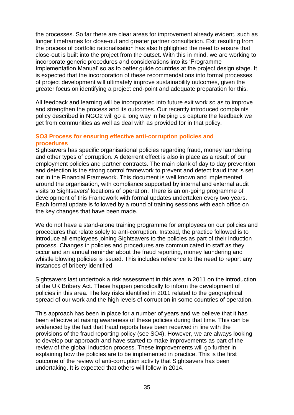the processes. So far there are clear areas for improvement already evident, such as longer timeframes for close-out and greater partner consultation. Exit resulting from the process of portfolio rationalisation has also highlighted the need to ensure that close-out is built into the project from the outset. With this in mind, we are working to incorporate generic procedures and considerations into its 'Programme Implementation Manual' so as to better guide countries at the project design stage. It is expected that the incorporation of these recommendations into formal processes of project development will ultimately improve sustainability outcomes, given the greater focus on identifying a project end-point and adequate preparation for this.

All feedback and learning will be incorporated into future exit work so as to improve and strengthen the process and its outcomes. Our recently introduced complaints policy described in NGO2 will go a long way in helping us capture the feedback we get from communities as well as deal with as provided for in that policy.

## **SO3 Process for ensuring effective anti-corruption policies and procedures**

Sightsavers has specific organisational policies regarding fraud, money laundering and other types of corruption. A deterrent effect is also in place as a result of our employment policies and partner contracts. The main plank of day to day prevention and detection is the strong control framework to prevent and detect fraud that is set out in the Financial Framework. This document is well known and implemented around the organisation, with compliance supported by internal and external audit visits to Sightsavers' locations of operation. There is an on-going programme of development of this Framework with formal updates undertaken every two years. Each formal update is followed by a round of training sessions with each office on the key changes that have been made.

We do not have a stand-alone training programme for employees on our policies and procedures that relate solely to anti-corruption. Instead, the practice followed is to introduce all employees joining Sightsavers to the policies as part of their induction process. Changes in policies and procedures are communicated to staff as they occur and an annual reminder about the fraud reporting, money laundering and whistle blowing policies is issued. This includes reference to the need to report any instances of bribery identified.

Sightsavers last undertook a risk assessment in this area in 2011 on the introduction of the UK Bribery Act. These happen periodically to inform the development of policies in this area. The key risks identified in 2011 related to the geographical spread of our work and the high levels of corruption in some countries of operation.

This approach has been in place for a number of years and we believe that it has been effective at raising awareness of these policies during that time. This can be evidenced by the fact that fraud reports have been received in line with the provisions of the fraud reporting policy (see SO4). However, we are always looking to develop our approach and have started to make improvements as part of the review of the global induction process. These improvements will go further in explaining how the policies are to be implemented in practice. This is the first outcome of the review of anti-corruption activity that Sightsavers has been undertaking. It is expected that others will follow in 2014.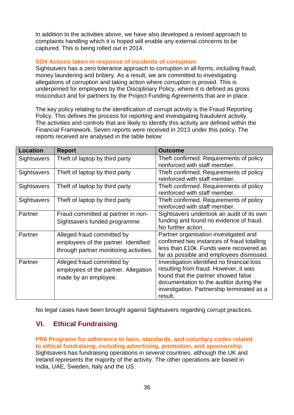In addition to the activities above, we have also developed a revised approach to complaints handling which it is hoped will enable any external concerns to be captured. This is being rolled out in 2014.

## **SO4 Actions taken in response of incidents of corruption**

Sightsavers has a zero tolerance approach to corruption in all forms, including fraud, money laundering and bribery. As a result, we are committed to investigating allegations of corruption and taking action where corruption is proved. This is underpinned for employees by the Disciplinary Policy, where it is defined as gross misconduct and for partners by the Project Funding Agreements that are in place.

The key policy relating to the identification of corrupt activity is the Fraud Reporting Policy. This defines the process for reporting and investigating fraudulent activity. The activities and controls that are likely to identify this activity are defined within the Financial Framework. Seven reports were received in 2013 under this policy. The reports received are analysed in the table below:

| <b>Location</b> | <b>Report</b>                                                                                                | <b>Outcome</b>                                                                                                                                                                                                                 |
|-----------------|--------------------------------------------------------------------------------------------------------------|--------------------------------------------------------------------------------------------------------------------------------------------------------------------------------------------------------------------------------|
| Sightsavers     | Theft of laptop by third party                                                                               | Theft confirmed. Requirements of policy<br>reinforced with staff member.                                                                                                                                                       |
| Sightsavers     | Theft of laptop by third party                                                                               | Theft confirmed. Requirements of policy<br>reinforced with staff member.                                                                                                                                                       |
| Sightsavers     | Theft of laptop by third party                                                                               | Theft confirmed. Requirements of policy<br>reinforced with staff member.                                                                                                                                                       |
| Sightsavers     | Theft of laptop by third party                                                                               | Theft confirmed. Requirements of policy<br>reinforced with staff member.                                                                                                                                                       |
| Partner         | Fraud committed at partner in non-<br>Sightsavers funded programme                                           | Sightsavers undertook an audit of its own<br>funding and found no evidence of fraud.<br>No further action.                                                                                                                     |
| Partner         | Alleged fraud committed by<br>employees of the partner. Identified<br>through partner monitoring activities. | Partner organisation investigated and<br>confirmed two instances of fraud totalling<br>less than £10k. Funds were recovered as<br>far as possible and employees dismissed.                                                     |
| Partner         | Alleged fraud committed by<br>employees of the partner. Allegation<br>made by an employee.                   | Investigation identified no financial loss<br>resulting from fraud. However, it was<br>found that the partner showed false<br>documentation to the auditor during the<br>investigation. Partnership terminated as a<br>result. |

No legal cases have been brought against Sightsavers regarding corrupt practices.

## **VI. Ethical Fundraising**

**PR6 Programs for adherence to laws, standards, and voluntary codes related to ethical fundraising, including advertising, promotion, and sponsorship**  Sightsavers has fundraising operations in several countries, although the UK and Ireland represents the majority of the activity. The other operations are based in India, UAE, Sweden, Italy and the US.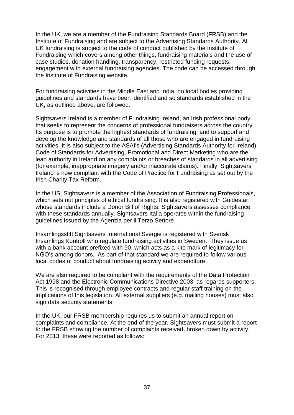In the UK, we are a member of the Fundraising Standards Board (FRSB) and the Institute of Fundraising and are subject to the Advertising Standards Authority. All UK fundraising is subject to the code of conduct published by the Institute of Fundraising which covers among other things, fundraising materials and the use of case studies, donation handling, transparency, restricted funding requests, engagement with external fundraising agencies. The code can be accessed through the Institute of Fundraising website.

For fundraising activities in the Middle East and India, no local bodies providing guidelines and standards have been identified and so standards established in the UK, as outlined above, are followed.

Sightsavers Ireland is a member of Fundraising Ireland, an Irish professional body that seeks to represent the concerns of professional fundraisers across the country. Its purpose is to promote the highest standards of fundraising, and to support and develop the knowledge and standards of all those who are engaged in fundraising activities. It is also subject to the ASAI's (Advertising Standards Authority for Ireland) Code of Standards for Advertising, Promotional and Direct Marketing who are the lead authority in Ireland on any complaints or breaches of standards in all advertising (for example, inappropriate imagery and/or inaccurate claims). Finally, Sightsavers Ireland is now compliant with the Code of Practice for Fundraising as set out by the Irish Charity Tax Reform.

In the US, Sightsavers is a member of the Association of Fundraising Professionals, which sets out principles of ethical fundraising. It is also registered with Guidestar, whose standards include a Donor Bill of Rights. Sightsavers assesses compliance with these standards annually. Sightsavers Italia operates within the fundraising guidelines issued by the Agenzia per il Terzo Settore.

Insamlingsstift Sightsavers International Svergie is registered with Svensk Insamlings Kontroll who regulate fundraising activities in Sweden. They issue us with a bank account prefixed with 90, which acts as a kite mark of legitimacy for NGO's among donors. As part of that standard we are required to follow various local codes of conduct about fundraising activity and expenditure.

We are also required to be compliant with the requirements of the Data Protection Act 1998 and the Electronic Communications Directive 2003, as regards supporters. This is recognised through employee contracts and regular staff training on the implications of this legislation. All external suppliers (e.g. mailing houses) must also sign data security statements.

In the UK, our FRSB membership requires us to submit an annual report on complaints and compliance. At the end of the year, Sightsavers must submit a report to the FRSB showing the number of complaints received, broken down by activity. For 2013, these were reported as follows: